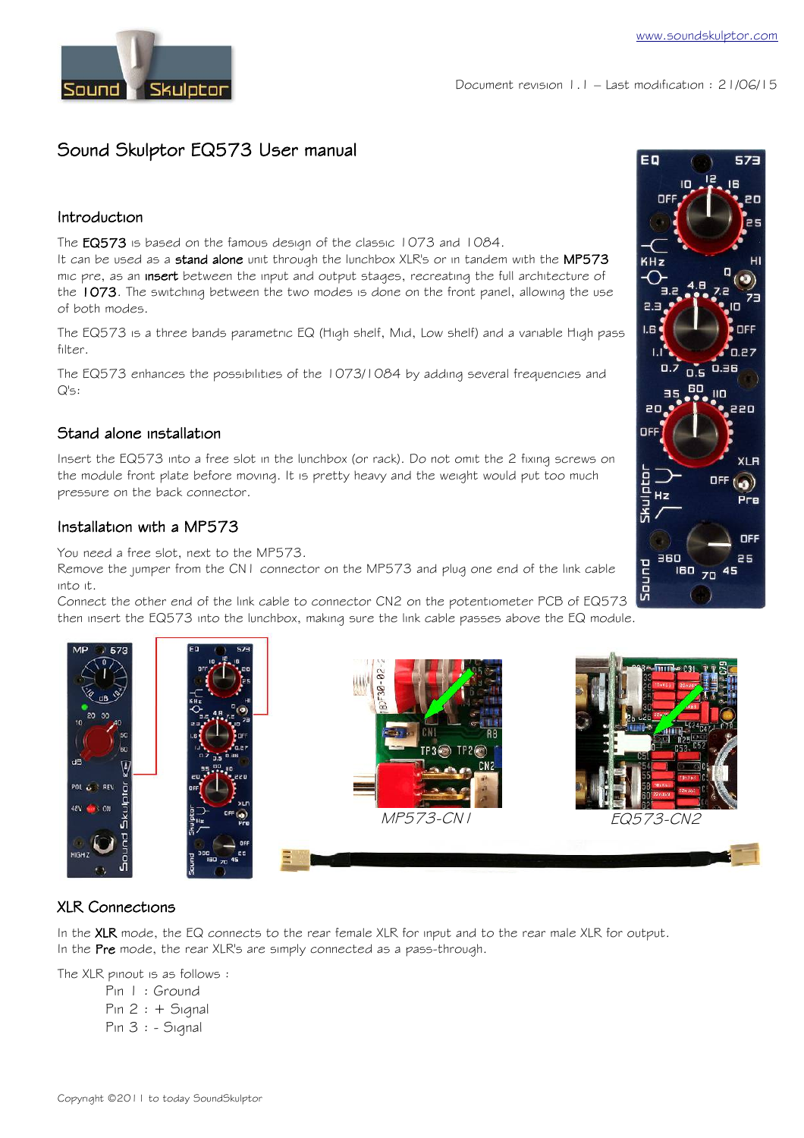

# Sound Skulptor EQ573 User manual

## Introduction

The EQ573 is based on the famous design of the classic 1073 and 1084.

It can be used as a stand alone unit through the lunchbox XLR's or in tandem with the MP573 mic pre, as an insert between the input and output stages, recreating the full architecture of the 1073. The switching between the two modes is done on the front panel, allowing the use of both modes.

The EQ573 is a three bands parametric EQ (High shelf, Mid, Low shelf) and a variable High pass filter.

The EQ573 enhances the possibilities of the 1073/1084 by adding several frequencies and Q's:

## Stand alone installation

Insert the EQ573 into a free slot in the lunchbox (or rack). Do not omit the 2 fixing screws on the module front plate before moving. It is pretty heavy and the weight would put too much pressure on the back connector.

## Installation with a MP573

You need a free slot, next to the MP573.

Remove the jumper from the CN1 connector on the MP573 and plug one end of the link cable into it.

Connect the other end of the link cable to connector CN2 on the potentiometer PCB of EQ573 then insert the EQ573 into the lunchbox, making sure the link cable passes above the EQ module.









## XLR Connections

In the XLR mode, the EQ connects to the rear female XLR for input and to the rear male XLR for output. In the Pre mode, the rear XLR's are simply connected as a pass-through.

The XLR pinout is as follows :

Pin 1 : Ground  $Pin 2 : + Signal$ Pin 3 : - Signal